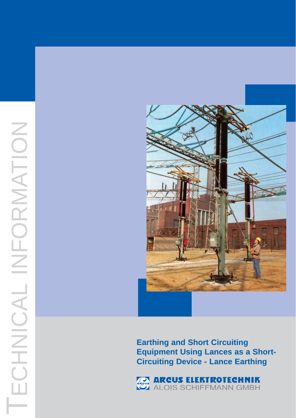

**Earthing and Short Circuiting Equipment Using Lances as a Short-Circuiting Device - Lance Earthing**

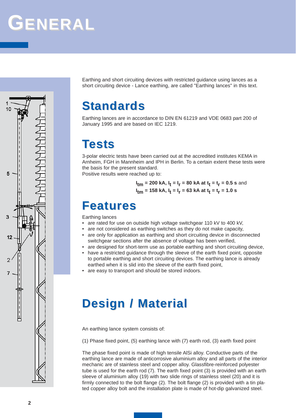# **GENERAL**



Earthing and short circuiting devices with restricted guidance using lances as a short circuiting device - Lance earthing, are called "Earthing lances" in this text.

### **Standards**

Earthing lances are in accordance to DIN EN 61219 and VDE 0683 part 200 of January 1995 and are based on IEC 1219.

#### **Tests**

3-polar electric tests have been carried out at the accredited institutes KEMA in Arnheim, FGH in Mannheim and IPH in Berlin. To a certain extent these tests were the basis for the present standard.

Positive results were reached up to:

 $I_{\text{tm}}$  = 200 kA,  $I_{\text{t}}$  =  $I_{\text{r}}$  = 80 kA at  $\mathrm{t_{t}}$  =  $\mathrm{t_{r}}$  = 0.5 s and I<sub>tm</sub> = 158 kA, I<sub>t</sub> = I<sub>r</sub> = 63 kA at t<sub>t</sub> = t<sub>r</sub> = 1.0 s

#### **Features Features**

Earthing lances

- are rated for use on outside high voltage switchgear 110 kV to 400 kV,
- are not considered as earthing switches as they do not make capacity,
- are only for application as earthing and short circuiting device in disconnected switchgear sections after the absence of voltage has been verified,
- are designed for short-term use as portable earthing and short circuiting device,
- have a restricted guidance through the sleeve of the earth fixed point, opposite to portable earthing and short circuiting devices. The earthing lance is already earthed when it is slid into the sleeve of the earth fixed point,
- are easy to transport and should be stored indoors.

#### **Design / Material Design / Material**

An earthing lance system consists of:

(1) Phase fixed point, (5) earthing lance with (7) earth rod, (3) earth fixed point

The phase fixed point is made of high tensile AlSi alloy. Conductive parts of the earthing lance are made of anticorrosive aluminium alloy and all parts of the interior mechanic are of stainless steel and copper alloy. Glassfibre-reinforced polyester tube is used for the earth rod (7). The earth fixed point (3) is provided with an earth sleeve of aluminium alloy (19) with two slide rings of stainless steel (20) and it is firmly connected to the bolt flange (2). The bolt flange (2) is provided with a tin plated copper alloy bolt and the installation plate is made of hot-dip galvanized steel.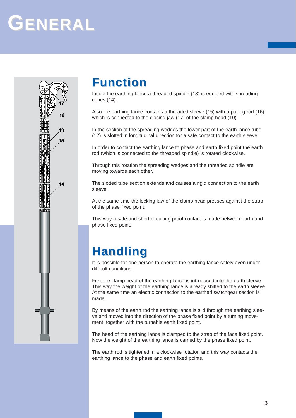## **GENERAL**

 $16$ 

 $13$ 

 $15$ 

 $14$ 



Inside the earthing lance a threaded spindle (13) is equiped with spreading cones (14).

Also the earthing lance contains a threaded sleeve (15) with a pulling rod (16) which is connected to the closing jaw (17) of the clamp head (10).

In the section of the spreading wedges the lower part of the earth lance tube (12) is slotted in longitudinal direction for a safe contact to the earth sleeve.

In order to contact the earthing lance to phase and earth fixed point the earth rod (which is connected to the threaded spindle) is rotated clockwise.

Through this rotation the spreading wedges and the threaded spindle are moving towards each other.

The slotted tube section extends and causes a rigid connection to the earth sleeve.

At the same time the locking jaw of the clamp head presses against the strap of the phase fixed point.

This way a safe and short circuiting proof contact is made between earth and phase fixed point.

### **Handling Handling**

It is possible for one person to operate the earthing lance safely even under difficult conditions.

First the clamp head of the earthing lance is introduced into the earth sleeve. This way the weight of the earthing lance is already shifted to the earth sleeve. At the same time an electric connection to the earthed switchgear section is made.

By means of the earth rod the earthing lance is slid through the earthing sleeve and moved into the direction of the phase fixed point by a turning movement, together with the turnable earth fixed point.

The head of the earthing lance is clamped to the strap of the face fixed point. Now the weight of the earthing lance is carried by the phase fixed point.

The earth rod is tightened in a clockwise rotation and this way contacts the earthing lance to the phase and earth fixed points.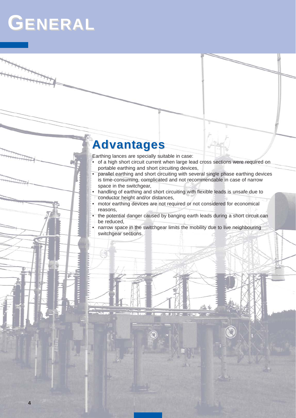### **GENERAL**

**4**

#### **Advantages**

Earthing lances are specially suitable in case:

- of a high short circuit current when large lead cross sections were required on portable earthing and short circuiting devices,
- parallel earthing and short circuiting with several single phase earthing devices is time-consuming, complicated and not recommendable in case of narrow space in the switchgear,
- handling of earthing and short circuiting with flexible leads is unsafe due to conductor height and/or distances,
- motor earthing devices are not required or not considered for economical reasons,
- the potential danger caused by banging earth leads during a short circuit can be reduced,
- narrow space in the switchgear limits the mobility due to live neighbouring switchgear sections.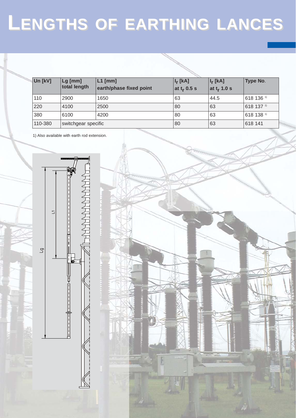# **LENGTHS OF EARTHING EARTHING LANCES**

| Un [kV] | $Lg$ [mm]<br>total length | $L1$ [mm]<br>earth/phase fixed point | $I_r$ [kA]<br>at $t_r$ 0.5 s | $I_r$ [kA]<br>at t <sub>r</sub> 1.0 s | Type No.   |
|---------|---------------------------|--------------------------------------|------------------------------|---------------------------------------|------------|
| 110     | 2900                      | 1650                                 | 63                           | 44.5                                  | 618 136 1) |
| 220     | 4100                      | 2500                                 | 80                           | 63                                    | 618 137 1) |
| 380     | 6100                      | 4200                                 | 80                           | 63                                    | 618 138 1) |
| 110-380 | switchgear specific       |                                      | 80                           | 63                                    | 618 141    |

1) Also available with earth rod extension.

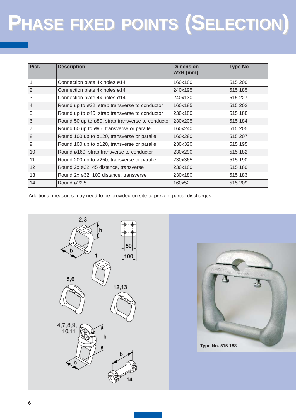# $P$ HASE FIXED POINTS (SELECTION)

| Pict.          | <b>Description</b>                                | <b>Dimension</b><br>WxH [mm] | Type No. |
|----------------|---------------------------------------------------|------------------------------|----------|
| 1              | Connection plate 4x holes ø14                     | 160x180                      | 515 200  |
| $\overline{2}$ | Connection plate 4x holes ø14                     | 240x195                      | 515 185  |
| 3              | Connection plate 4x holes ø14                     | 240x130                      | 515 227  |
| $\overline{4}$ | Round up to ø32, strap transverse to conductor    | 160x185                      | 515 202  |
| 5              | Round up to ø45, strap transverse to conductor    | 230x180                      | 515 188  |
| 6              | Round 50 up to ø80, strap transverse to conductor | 230x205                      | 515 184  |
| $\overline{7}$ | Round 60 up to ø95, transverse or parallel        | 160x240                      | 515 205  |
| 8              | Round 100 up to ø120, transverse or parallel      | 160x280                      | 515 207  |
| 9              | Round 100 up to ø120, transverse or parallel      | 230x320                      | 515 195  |
| 10             | Round ø160, strap transverse to conductor         | 230x290                      | 515 182  |
| 11             | Round 200 up to ø250, transverse or parallel      | 230x365                      | 515 190  |
| 12             | Round 2x ø32, 45 distance, transverse             | 230x180                      | 515 180  |
| 13             | Round 2x ø32, 100 distance, transverse            | 230x180                      | 515 183  |
| 14             | Round $\varnothing$ 22.5                          | 160x52                       | 515 209  |

Additional measures may need to be provided on site to prevent partial discharges.



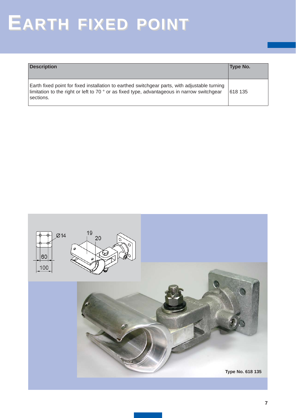## **EARTH FIXED POINT**

| <b>Description</b>                                                                                                                                                                                        | Type No. |
|-----------------------------------------------------------------------------------------------------------------------------------------------------------------------------------------------------------|----------|
| Earth fixed point for fixed installation to earthed switchgear parts, with adjustable turning<br>limitation to the right or left to 70 ° or as fixed type, advantageous in narrow switchgear<br>sections. | 618 135  |